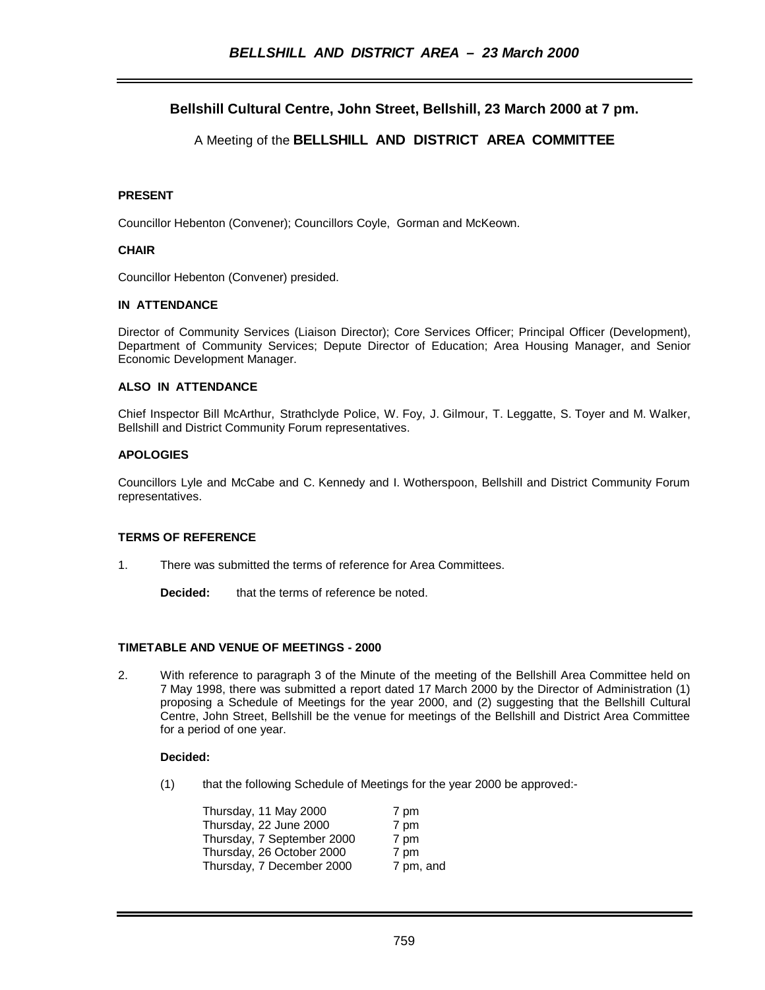# **Bellshill Cultural Centre, John Street, Bellshill, 23 March 2000 at 7 pm.**

# A Meeting of the **BELLSHILL AND DISTRICT AREA COMMITTEE**

## **PRESENT**

Councillor Hebenton (Convener); Councillors Coyle, Gorman and McKeown.

### **CHAIR**

Councillor Hebenton (Convener) presided.

## **IN ATTENDANCE**

Director of Community Services (Liaison Director); Core Services Officer; Principal Officer (Development), Department of Community Services; Depute Director of Education; Area Housing Manager, and Senior Economic Development Manager.

## **ALSO IN ATTENDANCE**

Chief Inspector Bill McArthur, Strathclyde Police, W. Foy, J. Gilmour, T. Leggatte, S. Toyer and M. Walker, Bellshill and District Community Forum representatives.

## **APOLOGIES**

Councillors Lyle and McCabe and C. Kennedy and I. Wotherspoon, Bellshill and District Community Forum representatives.

#### **TERMS OF REFERENCE**

1. There was submitted the terms of reference for Area Committees.

**Decided:** that the terms of reference be noted.

#### **TIMETABLE AND VENUE OF MEETINGS - 2000**

2. With reference to paragraph 3 of the Minute of the meeting of the Bellshill Area Committee held on 7 May 1998, there was submitted a report dated 17 March 2000 by the Director of Administration (1) proposing a Schedule of Meetings for the year 2000, and (2) suggesting that the Bellshill Cultural Centre, John Street, Bellshill be the venue for meetings of the Bellshill and District Area Committee for a period of one year.

#### **Decided:**

(1) that the following Schedule of Meetings for the year 2000 be approved:-

| Thursday, 11 May 2000      | 7 pm      |
|----------------------------|-----------|
| Thursday, 22 June 2000     | 7 pm      |
| Thursday, 7 September 2000 | 7 pm      |
| Thursday, 26 October 2000  | 7 pm      |
| Thursday, 7 December 2000  | 7 pm, and |
|                            |           |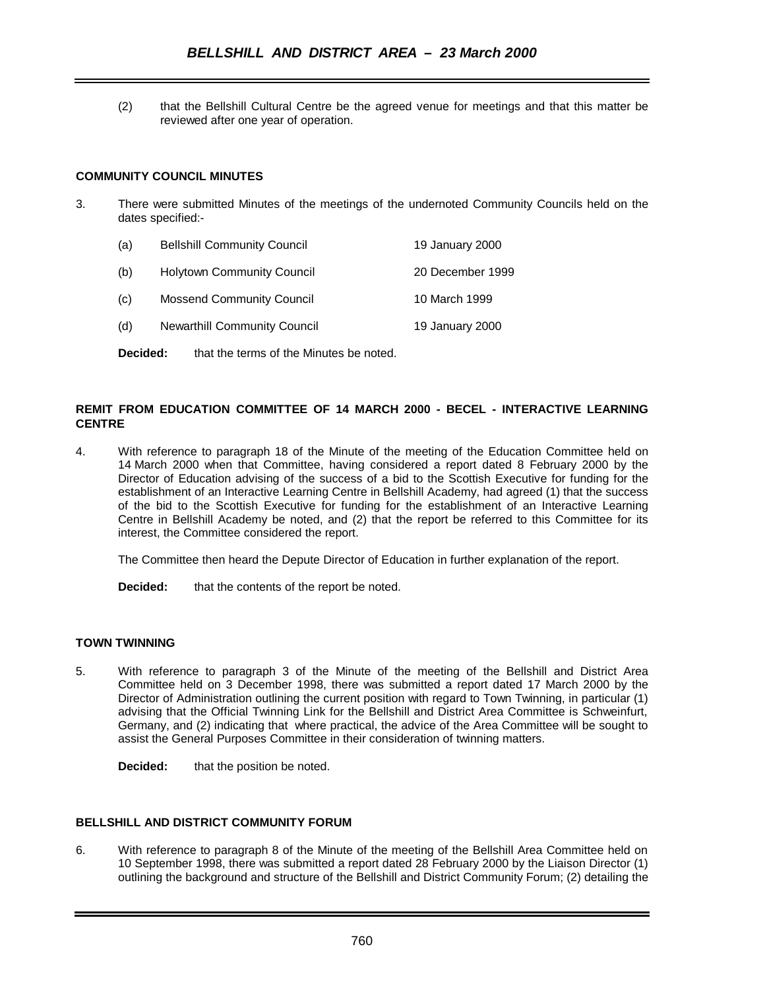(2) that the Bellshill Cultural Centre be the agreed venue for meetings and that this matter be reviewed after one year of operation.

# **COMMUNITY COUNCIL MINUTES**

- 3. There were submitted Minutes of the meetings of the undernoted Community Councils held on the dates specified:-
	- (a) Bellshill Community Council 19 January 2000
	- (b) Holytown Community Council 20 December 1999
	- (c) Mossend Community Council 10 March 1999
	- (d) Newarthill Community Council 19 January 2000

**Decided:** that the terms of the Minutes be noted.

# **REMIT FROM EDUCATION COMMITTEE OF 14 MARCH 2000 - BECEL - INTERACTIVE LEARNING CENTRE**

4. With reference to paragraph 18 of the Minute of the meeting of the Education Committee held on 14 March 2000 when that Committee, having considered a report dated 8 February 2000 by the Director of Education advising of the success of a bid to the Scottish Executive for funding for the establishment of an Interactive Learning Centre in Bellshill Academy, had agreed (1) that the success of the bid to the Scottish Executive for funding for the establishment of an Interactive Learning Centre in Bellshill Academy be noted, and (2) that the report be referred to this Committee for its interest, the Committee considered the report.

The Committee then heard the Depute Director of Education in further explanation of the report.

**Decided:** that the contents of the report be noted.

# **TOWN TWINNING**

5. With reference to paragraph 3 of the Minute of the meeting of the Bellshill and District Area Committee held on 3 December 1998, there was submitted a report dated 17 March 2000 by the Director of Administration outlining the current position with regard to Town Twinning, in particular (1) advising that the Official Twinning Link for the Bellshill and District Area Committee is Schweinfurt, Germany, and (2) indicating that where practical, the advice of the Area Committee will be sought to assist the General Purposes Committee in their consideration of twinning matters.

**Decided:** that the position be noted.

## **BELLSHILL AND DISTRICT COMMUNITY FORUM**

6. With reference to paragraph 8 of the Minute of the meeting of the Bellshill Area Committee held on 10 September 1998, there was submitted a report dated 28 February 2000 by the Liaison Director (1) outlining the background and structure of the Bellshill and District Community Forum; (2) detailing the